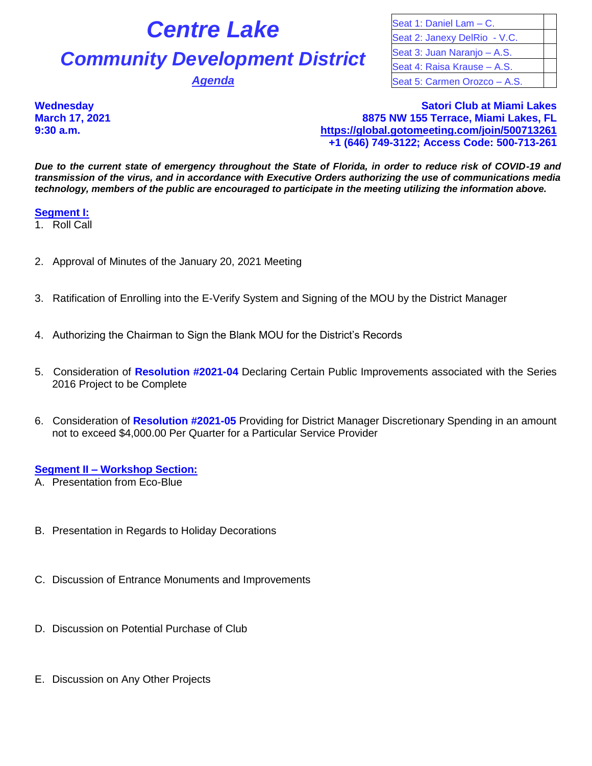# **Centre Lake**

## **Community Development District**

**Agenda** 

| Seat 1: Daniel Lam - C.      |  |
|------------------------------|--|
| Seat 2: Janexy DelRio - V.C. |  |
| Seat 3: Juan Naranjo - A.S.  |  |
| Seat 4: Raisa Krause - A.S.  |  |
| Seat 5: Carmen Orozco - A.S. |  |

**Wednesday Satori Club at Miami Lakes March 17, 2021 8875 NW 155 Terrace, Miami Lakes, FL 9:30 a.m. <https://global.gotomeeting.com/join/500713261> +1 (646) 749-3122; Access Code: 500-713-261**

*Due to the current state of emergency throughout the State of Florida, in order to reduce risk of COVID-19 and transmission of the virus, and in accordance with Executive Orders authorizing the use of communications media technology, members of the public are encouraged to participate in the meeting utilizing the information above.*

#### **Segment I:**

1. Roll Call

- 2. Approval of Minutes of the January 20, 2021 Meeting
- 3. Ratification of Enrolling into the E-Verify System and Signing of the MOU by the District Manager
- 4. Authorizing the Chairman to Sign the Blank MOU for the District's Records
- 5. Consideration of **Resolution #2021-04** Declaring Certain Public Improvements associated with the Series 2016 Project to be Complete
- 6. Consideration of **Resolution #2021-05** Providing for District Manager Discretionary Spending in an amount not to exceed \$4,000.00 Per Quarter for a Particular Service Provider

#### **Segment II – Workshop Section:**

- A. Presentation from Eco-Blue
- B. Presentation in Regards to Holiday Decorations
- C. Discussion of Entrance Monuments and Improvements
- D. Discussion on Potential Purchase of Club
- E. Discussion on Any Other Projects